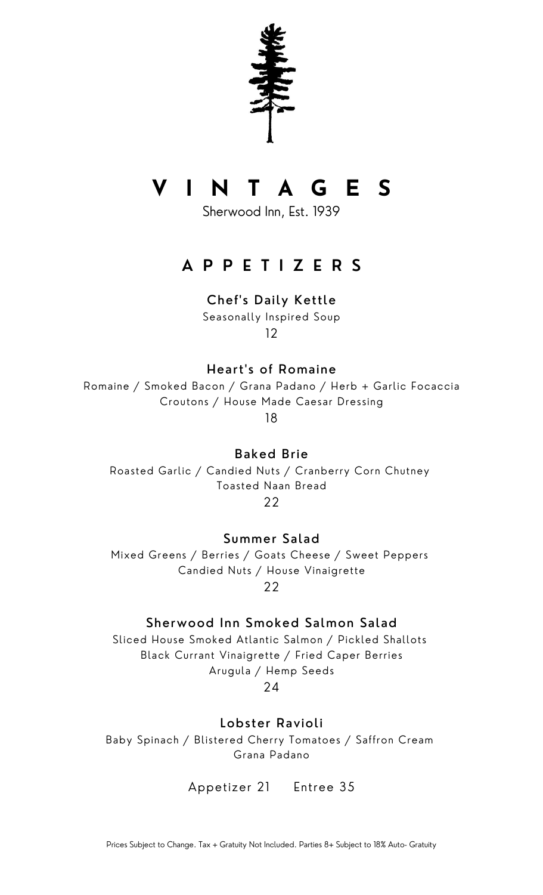

# V I N T A G E S

Sherwood Inn, Est. 1939

# **APPETIZERS**

### Chef's Daily Kettle

Seasonally Inspired Soup  $12$ 

Heart's of Romaine

Romaine / Smoked Bacon / Grana Padano / Herb + Garlic Focaccia Croutons / House Made Caesar Dressing

18

**Baked Brie** Roasted Garlic / Candied Nuts / Cranberry Corn Chutney **Toasted Naan Bread** 22

Summer Salad

Mixed Greens / Berries / Goats Cheese / Sweet Peppers Candied Nuts / House Vinaigrette 22

## Sherwood Inn Smoked Salmon Salad

Sliced House Smoked Atlantic Salmon / Pickled Shallots Black Currant Vinaigrette / Fried Caper Berries Arugula / Hemp Seeds

 $24$ 

Lobster Ravioli

Baby Spinach / Blistered Cherry Tomatoes / Saffron Cream Grana Padano

Appetizer 21 Entree 35